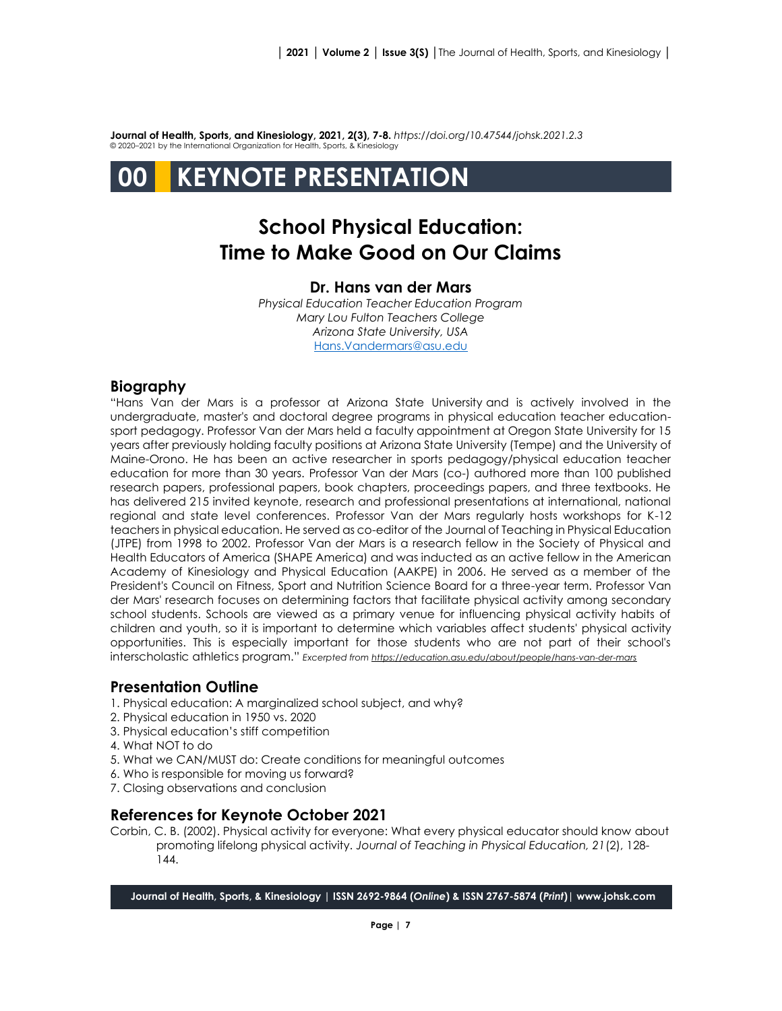**Journal of Health, Sports, and Kinesiology, 2021, 2(3), 7-8.** *<https://doi.org/10.47544/johsk.2021.2.3>* © 2020–2021 by the International Organization for Health, Sports, & Kinesiology

# **00 KEYNOTE PRESENTATION**

# **School Physical Education: Time to Make Good on Our Claims**

## **Dr. Hans van der Mars**

*Physical Education Teacher Education Program Mary Lou Fulton Teachers College Arizona State University, USA* [Hans.Vandermars@asu.edu](mailto:Hans.Vandermars@asu.edu)

## **Biography**

"Hans Van der Mars is a professor at Arizona State University and is actively involved in the undergraduate, master's and doctoral degree programs in physical education teacher educationsport pedagogy. Professor Van der Mars held a faculty appointment at Oregon State University for 15 years after previously holding faculty positions at Arizona State University (Tempe) and the University of Maine-Orono. He has been an active researcher in sports pedagogy/physical education teacher education for more than 30 years. Professor Van der Mars (co-) authored more than 100 published research papers, professional papers, book chapters, proceedings papers, and three textbooks. He has delivered 215 invited keynote, research and professional presentations at international, national regional and state level conferences. Professor Van der Mars regularly hosts workshops for K-12 teachers in physical education. He served as co-editor of the Journal of Teaching in Physical Education (JTPE) from 1998 to 2002. Professor Van der Mars is a research fellow in the Society of Physical and Health Educators of America (SHAPE America) and was inducted as an active fellow in the American Academy of Kinesiology and Physical Education (AAKPE) in 2006. He served as a member of the President's Council on Fitness, Sport and Nutrition Science Board for a three-year term. Professor Van der Mars' research focuses on determining factors that facilitate physical activity among secondary school students. Schools are viewed as a primary venue for influencing physical activity habits of children and youth, so it is important to determine which variables affect students' physical activity opportunities. This is especially important for those students who are not part of their school's interscholastic athletics program." *Excerpted fro[m https://education.asu.edu/about/people/hans-van-der-mars](https://education.asu.edu/about/people/hans-van-der-mars)*

#### **Presentation Outline**

- 1. Physical education: A marginalized school subject, and why?
- 2. Physical education in 1950 vs. 2020
- 3. Physical education's stiff competition
- 4. What NOT to do
- 5. What we CAN/MUST do: Create conditions for meaningful outcomes
- 6. Who is responsible for moving us forward?
- 7. Closing observations and conclusion

#### **References for Keynote October 2021**

Corbin, C. B. (2002). Physical activity for everyone: What every physical educator should know about promoting lifelong physical activity. *Journal of Teaching in Physical Education, 21*(2), 128- 144.

**Journal of Health, Sports, & Kinesiology | ISSN 2692-9864 (***Online***) & ISSN 2767-5874 (***Print***)| www.johsk.com**